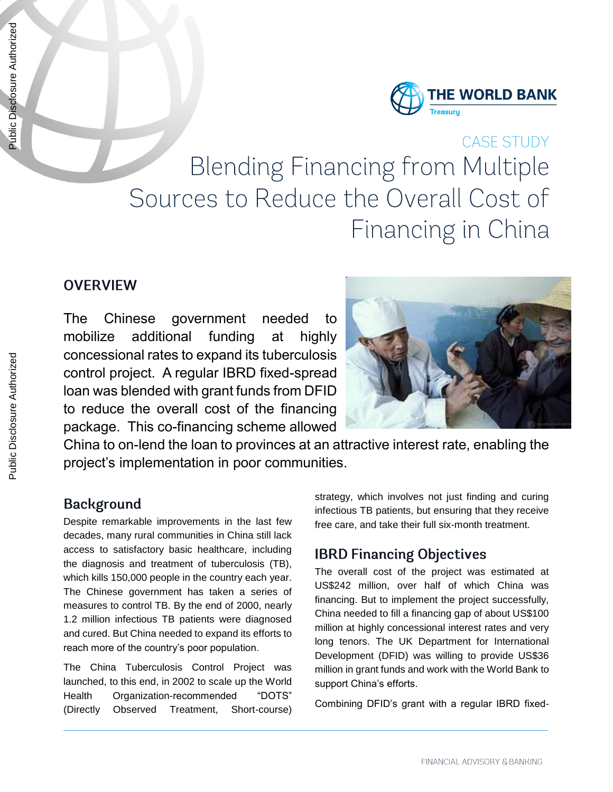

# **CASE STUDY Blending Financing from Multiple** Sources to Reduce the Overall Cost of Financing in China

#### **OVERVIEW**

The Chinese government needed to mobilize additional funding at highly concessional rates to expand its tuberculosis control project. A regular IBRD fixed-spread loan was blended with grant funds from DFID to reduce the overall cost of the financing package. This co-financing scheme allowed



China to on-lend the loan to provinces at an attractive interest rate, enabling the project's implementation in poor communities.

#### **Background**

Despite remarkable improvements in the last few decades, many rural communities in China still lack access to satisfactory basic healthcare, including the diagnosis and treatment of tuberculosis (TB), which kills 150,000 people in the country each year. The Chinese government has taken a series of measures to control TB. By the end of 2000, nearly 1.2 million infectious TB patients were diagnosed and cured. But China needed to expand its efforts to reach more of the country's poor population.

The China Tuberculosis Control Project was launched, to this end, in 2002 to scale up the World Health Organization-recommended "DOTS" (Directly Observed Treatment, Short-course)

strategy, which involves not just finding and curing infectious TB patients, but ensuring that they receive free care, and take their full six-month treatment.

### **IBRD Financing Objectives**

The overall cost of the project was estimated at US\$242 million, over half of which China was financing. But to implement the project successfully, China needed to fill a financing gap of about US\$100 million at highly concessional interest rates and very long tenors. The UK Department for International Development (DFID) was willing to provide US\$36 million in grant funds and work with the World Bank to support China's efforts.

Combining DFID's grant with a regular IBRD fixed-